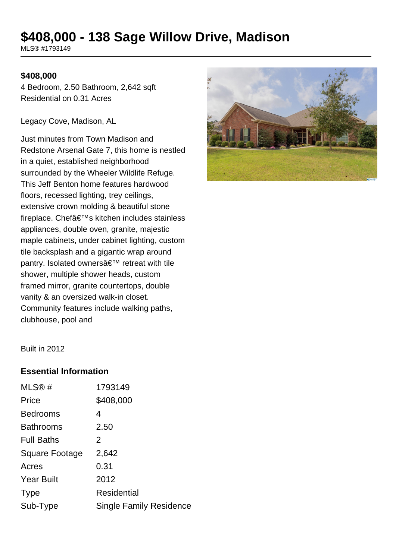# **\$408,000 - 138 Sage Willow Drive, Madison**

MLS® #1793149

#### **\$408,000**

4 Bedroom, 2.50 Bathroom, 2,642 sqft Residential on 0.31 Acres

Legacy Cove, Madison, AL

Just minutes from Town Madison and Redstone Arsenal Gate 7, this home is nestled in a quiet, established neighborhood surrounded by the Wheeler Wildlife Refuge. This Jeff Benton home features hardwood floors, recessed lighting, trey ceilings, extensive crown molding & beautiful stone fireplace. Chef's kitchen includes stainless appliances, double oven, granite, majestic maple cabinets, under cabinet lighting, custom tile backsplash and a gigantic wrap around pantry. Isolated owners' retreat with tile shower, multiple shower heads, custom framed mirror, granite countertops, double vanity & an oversized walk-in closet. Community features include walking paths, clubhouse, pool and



Built in 2012

#### **Essential Information**

| MLS®#             | 1793149                        |
|-------------------|--------------------------------|
| Price             | \$408,000                      |
| <b>Bedrooms</b>   | 4                              |
| <b>Bathrooms</b>  | 2.50                           |
| <b>Full Baths</b> | 2                              |
| Square Footage    | 2,642                          |
| Acres             | 0.31                           |
| <b>Year Built</b> | 2012                           |
| <b>Type</b>       | Residential                    |
| Sub-Type          | <b>Single Family Residence</b> |